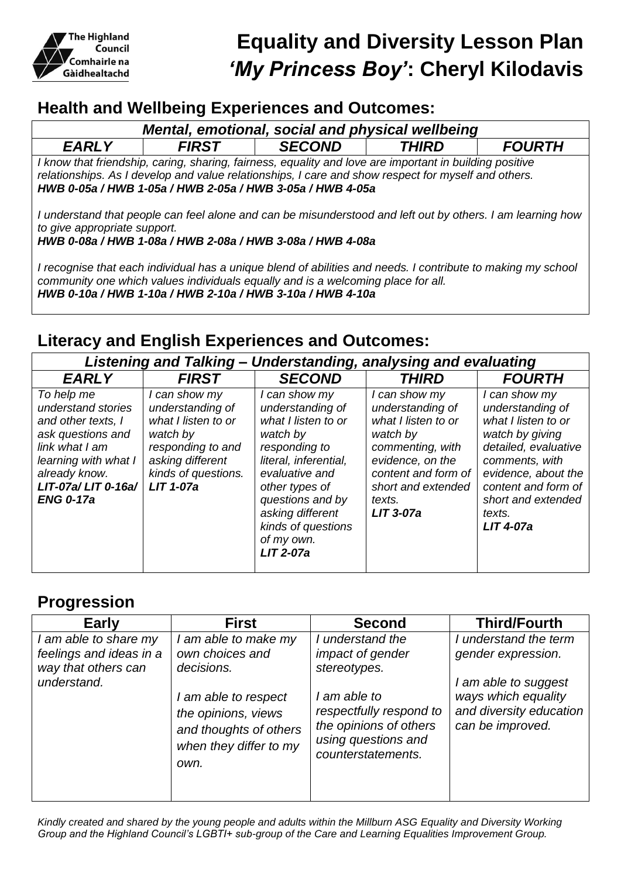

## **Health and Wellbeing Experiences and Outcomes:**

| Mental, emotional, social and physical wellbeing                                                                                                                                                                                                                            |              |               |              |               |  |  |  |
|-----------------------------------------------------------------------------------------------------------------------------------------------------------------------------------------------------------------------------------------------------------------------------|--------------|---------------|--------------|---------------|--|--|--|
| <b>EARLY</b>                                                                                                                                                                                                                                                                | <b>FIRST</b> | <b>SECOND</b> | <b>THIRD</b> | <b>FOURTH</b> |  |  |  |
| I know that friendship, caring, sharing, fairness, equality and love are important in building positive<br>relationships. As I develop and value relationships, I care and show respect for myself and others.<br>HWB 0-05a / HWB 1-05a / HWB 2-05a / HWB 3-05a / HWB 4-05a |              |               |              |               |  |  |  |
| I understand that people can feel alone and can be misunderstood and left out by others. I am learning how<br>to give appropriate support.<br>HWB 0-08a / HWB 1-08a / HWB 2-08a / HWB 3-08a / HWB 4-08a                                                                     |              |               |              |               |  |  |  |

*I recognise that each individual has a unique blend of abilities and needs. I contribute to making my school community one which values individuals equally and is a welcoming place for all. HWB 0-10a / HWB 1-10a / HWB 2-10a / HWB 3-10a / HWB 4-10a*

## **Literacy and English Experiences and Outcomes:**

| Listening and Talking – Understanding, analysing and evaluating                                                                                                                  |                                                                                                                                                          |                                                                                                                                                                                                                                                    |                                                                                                                                                                                    |                                                                                                                                                                                                                         |  |  |  |
|----------------------------------------------------------------------------------------------------------------------------------------------------------------------------------|----------------------------------------------------------------------------------------------------------------------------------------------------------|----------------------------------------------------------------------------------------------------------------------------------------------------------------------------------------------------------------------------------------------------|------------------------------------------------------------------------------------------------------------------------------------------------------------------------------------|-------------------------------------------------------------------------------------------------------------------------------------------------------------------------------------------------------------------------|--|--|--|
| <b>EARLY</b>                                                                                                                                                                     | <b>FIRST</b>                                                                                                                                             | <b>SECOND</b>                                                                                                                                                                                                                                      | <b>THIRD</b>                                                                                                                                                                       | <b>FOURTH</b>                                                                                                                                                                                                           |  |  |  |
| To help me<br>understand stories<br>and other texts, I<br>ask questions and<br>link what I am<br>learning with what I<br>already know.<br>LIT-07a/LIT 0-16a/<br><b>ENG 0-17a</b> | I can show my<br>understanding of<br>what I listen to or<br>watch by<br>responding to and<br>asking different<br>kinds of questions.<br><b>LIT 1-07a</b> | I can show my<br>understanding of<br>what I listen to or<br>watch by<br>responding to<br>literal, inferential,<br>evaluative and<br>other types of<br>questions and by<br>asking different<br>kinds of questions<br>of my own.<br><b>LIT 2-07a</b> | I can show my<br>understanding of<br>what I listen to or<br>watch by<br>commenting, with<br>evidence, on the<br>content and form of<br>short and extended<br>texts.<br>$LIT$ 3-07a | I can show my<br>understanding of<br>what I listen to or<br>watch by giving<br>detailed, evaluative<br>comments, with<br>evidence, about the<br>content and form of<br>short and extended<br>texts.<br><b>LIT 4-07a</b> |  |  |  |

## **Progression**

| <b>Early</b>                                                                           | <b>First</b>                                                                                                                                                     | <b>Second</b>                                                                                                                                                          | <b>Third/Fourth</b>                                                                                                                       |
|----------------------------------------------------------------------------------------|------------------------------------------------------------------------------------------------------------------------------------------------------------------|------------------------------------------------------------------------------------------------------------------------------------------------------------------------|-------------------------------------------------------------------------------------------------------------------------------------------|
| I am able to share my<br>feelings and ideas in a<br>way that others can<br>understand. | I am able to make my<br>own choices and<br>decisions.<br>I am able to respect<br>the opinions, views<br>and thoughts of others<br>when they differ to my<br>own. | I understand the<br>impact of gender<br>stereotypes.<br>I am able to<br>respectfully respond to<br>the opinions of others<br>using questions and<br>counterstatements. | I understand the term<br>gender expression.<br>I am able to suggest<br>ways which equality<br>and diversity education<br>can be improved. |
|                                                                                        |                                                                                                                                                                  |                                                                                                                                                                        |                                                                                                                                           |

*Kindly created and shared by the young people and adults within the Millburn ASG Equality and Diversity Working Group and the Highland Council's LGBTI+ sub-group of the Care and Learning Equalities Improvement Group.*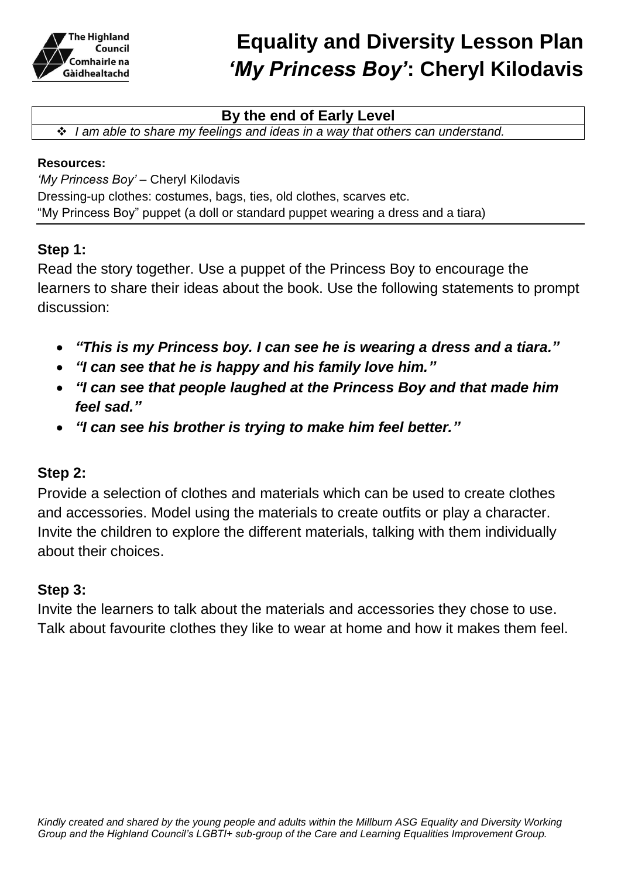

#### **By the end of Early Level**

*I am able to share my feelings and ideas in a way that others can understand.*

#### **Resources:**

*'My Princess Boy' –* Cheryl Kilodavis Dressing-up clothes: costumes, bags, ties, old clothes, scarves etc. "My Princess Boy" puppet (a doll or standard puppet wearing a dress and a tiara)

#### **Step 1:**

Read the story together. Use a puppet of the Princess Boy to encourage the learners to share their ideas about the book. Use the following statements to prompt discussion:

- *"This is my Princess boy. I can see he is wearing a dress and a tiara."*
- *"I can see that he is happy and his family love him."*
- *"I can see that people laughed at the Princess Boy and that made him feel sad."*
- *"I can see his brother is trying to make him feel better."*

### **Step 2:**

Provide a selection of clothes and materials which can be used to create clothes and accessories. Model using the materials to create outfits or play a character. Invite the children to explore the different materials, talking with them individually about their choices.

#### **Step 3:**

Invite the learners to talk about the materials and accessories they chose to use. Talk about favourite clothes they like to wear at home and how it makes them feel.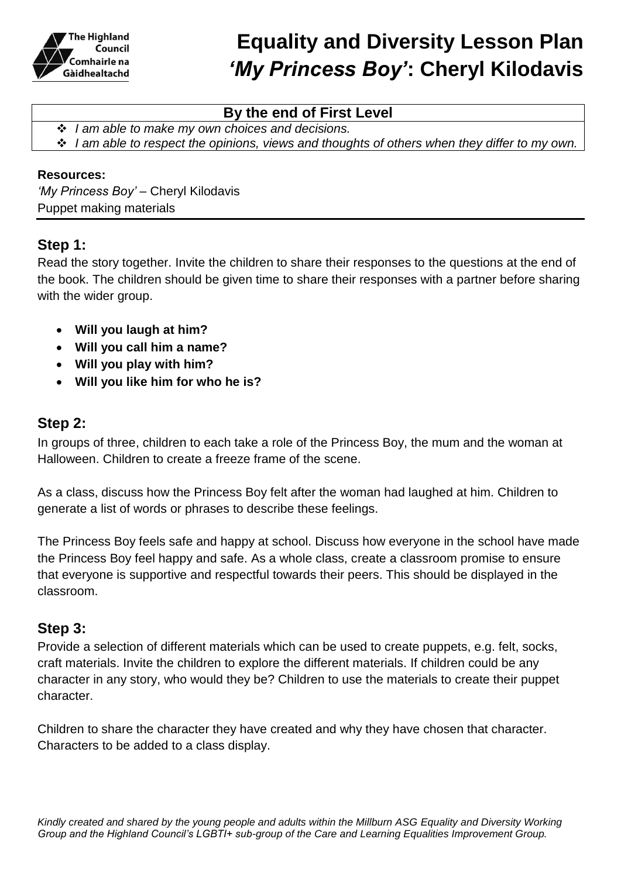

#### **By the end of First Level**

*I am able to make my own choices and decisions.* 

*I am able to respect the opinions, views and thoughts of others when they differ to my own.*

#### **Resources:**

*'My Princess Boy' –* Cheryl Kilodavis Puppet making materials

#### **Step 1:**

Read the story together. Invite the children to share their responses to the questions at the end of the book. The children should be given time to share their responses with a partner before sharing with the wider group.

- **Will you laugh at him?**
- **Will you call him a name?**
- **Will you play with him?**
- **Will you like him for who he is?**

#### **Step 2:**

In groups of three, children to each take a role of the Princess Boy, the mum and the woman at Halloween. Children to create a freeze frame of the scene.

As a class, discuss how the Princess Boy felt after the woman had laughed at him. Children to generate a list of words or phrases to describe these feelings.

The Princess Boy feels safe and happy at school. Discuss how everyone in the school have made the Princess Boy feel happy and safe. As a whole class, create a classroom promise to ensure that everyone is supportive and respectful towards their peers. This should be displayed in the classroom.

#### **Step 3:**

Provide a selection of different materials which can be used to create puppets, e.g. felt, socks, craft materials. Invite the children to explore the different materials. If children could be any character in any story, who would they be? Children to use the materials to create their puppet character.

Children to share the character they have created and why they have chosen that character. Characters to be added to a class display.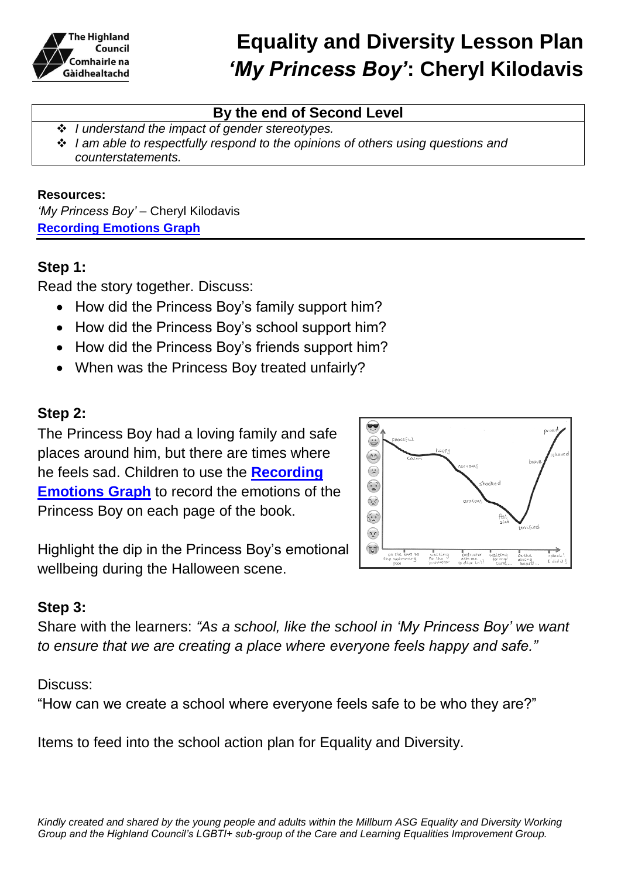

### **By the end of Second Level**

- *I understand the impact of gender stereotypes.*
- *I am able to respectfully respond to the opinions of others using questions and counterstatements.*

#### **Resources:**

*'My Princess Boy' –* Cheryl Kilodavis **[Recording Emotions Graph](https://highlandliteracy.files.wordpress.com/2017/10/emotions-graph-template.pdf)**

### **Step 1:**

Read the story together. Discuss:

- How did the Princess Boy's family support him?
- How did the Princess Boy's school support him?
- How did the Princess Boy's friends support him?
- When was the Princess Boy treated unfairly?

### **Step 2:**

The Princess Boy had a loving family and safe places around him, but there are times where he feels sad. Children to use the **[Recording](https://highlandliteracy.files.wordpress.com/2017/10/emotions-graph-template.pdf)  [Emotions Graph](https://highlandliteracy.files.wordpress.com/2017/10/emotions-graph-template.pdf)** to record the emotions of the Princess Boy on each page of the book.



Highlight the dip in the Princess Boy's emotional wellbeing during the Halloween scene.

### **Step 3:**

Share with the learners: *"As a school, like the school in 'My Princess Boy' we want to ensure that we are creating a place where everyone feels happy and safe."*

#### Discuss:

"How can we create a school where everyone feels safe to be who they are?"

Items to feed into the school action plan for Equality and Diversity.